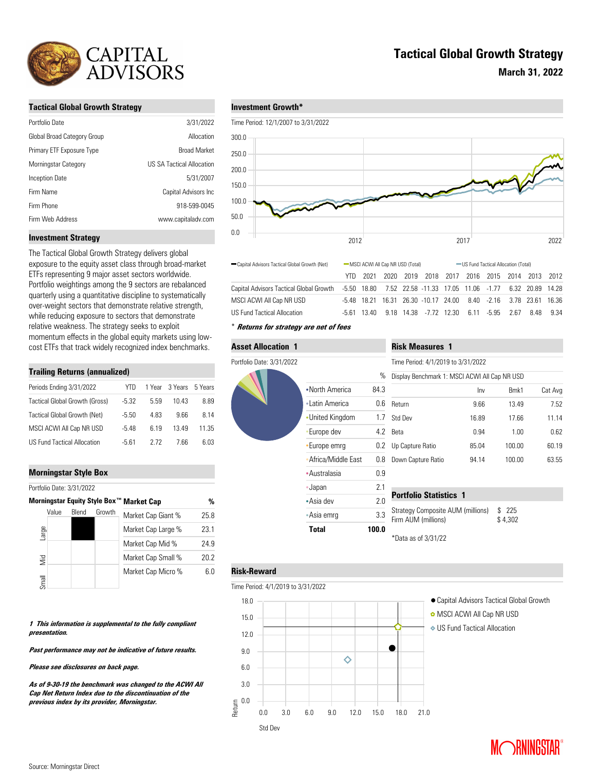

### **Tactical Global Growth Strategy**

| Portfolio Date              | 3/31/2022                 |
|-----------------------------|---------------------------|
| Global Broad Category Group | Allocation                |
| Primary ETF Exposure Type   | <b>Broad Market</b>       |
| Morningstar Category        | US SA Tactical Allocation |
| Inception Date              | 5/31/2007                 |
| Firm Name                   | Capital Advisors Inc      |
| Firm Phone                  | 918-599-0045              |
| Firm Web Address            | www.capitaladv.com        |

## **Tactical Global Growth Strategy**

**March 31, 2022**

### **Investment Growth\***



Capital Advisors Tactical Global Growth (Net) - MSCI ACWI All Cap NR USD (Total) - US Fund Tactical Allocation (Total)

#### **Investment Strategy**

The Tactical Global Growth Strategy delivers global exposure to the equity asset class through broad-market ETFs representing 9 major asset sectors worldwide. Portfolio weightings among the 9 sectors are rebalanced quarterly using a quantitative discipline to systematically over-weight sectors that demonstrate relative strength, while reducing exposure to sectors that demonstrate relative weakness. The strategy seeks to exploit momentum effects in the global equity markets using lowcost ETFs that track widely recognized index benchmarks.

#### **Trailing Returns (annualized)**

| Periods Ending 3/31/2022       | YTD.    |      | 1 Year 3 Years | 5 Years |
|--------------------------------|---------|------|----------------|---------|
| Tactical Global Growth (Gross) | $-5.32$ | 5.59 | 10.43          | 8.89    |
| Tactical Global Growth (Net)   | $-5.50$ | 483  | 9.66           | 8.14    |
| MSCI ACWI All Cap NR USD       | $-548$  | 619  | 1349           | 11.35   |
| US Fund Tactical Allocation    | -5 61   | 2 72 | 7.66           | 6.03    |

### **Morningstar Style Box**

Portfolio Date: 3/31/2022

|       |              |        | Morningstar Equity Style Box™ Market Cap | %    |
|-------|--------------|--------|------------------------------------------|------|
| Value | <b>Blend</b> | Growth | Market Cap Giant %                       | 25.8 |
| arge  |              |        | Market Cap Large %                       | 23.1 |
|       |              |        | Market Cap Mid %                         | 24.9 |
| Vid   |              |        | Market Cap Small %                       | 20.2 |
| Small |              |        | Market Cap Micro %                       | 6.0  |

#### **1 This information is supplemental to the fully compliant presentation.**

**Past performance may not be indicative of future results.** 

#### **Please see disclosures on back page.**

**As of 9-30-19 the benchmark was changed to the ACWI All Cap Net Return Index due to the discontinuation of the previous index by its provider, Morningstar.**



Capital Advisors Tactical Global Growth MSCI ACWI All Cap NR USD

## **Asset Allocation 1** Portfolio Date: 3/31/2022 •North America 84 Latin America **0**. •United Kingdom 1 Europe dev 4. •Europe emrg 0. Africa/Middle East 0. Australasia 0.9 Japan 2.1 Asia dev 2.0 Asia emrg 3.3 **Total 100.0**

|      | <b>Risk Measures 1</b>                        |       |        |         |  |  |  |
|------|-----------------------------------------------|-------|--------|---------|--|--|--|
|      | Time Period: 4/1/2019 to 3/31/2022            |       |        |         |  |  |  |
| $\%$ | Display Benchmark 1: MSCI ACWI All Cap NR USD |       |        |         |  |  |  |
| .3   |                                               | Inv   | Bmk1   | Cat Avg |  |  |  |
| .6   | Return                                        | 9.66  | 13.49  | 7.52    |  |  |  |
| .7   | Std Dev                                       | 16.89 | 17.66  | 11.14   |  |  |  |
| .2   | Beta                                          | 0.94  | 1.00   | 0.62    |  |  |  |
| .2   | Up Capture Ratio                              | 85.04 | 100.00 | 60.19   |  |  |  |
| .8   | Down Capture Ratio                            | 94.14 | 100.00 | 63.55   |  |  |  |
|      |                                               |       |        |         |  |  |  |

YTD 2021 2020 2019 2018 2017 2016 2015 2014 2013 2012

-5.50 18.80 7.52 22.58 -11.33 17.05 11.06 -1.77 6.32 20.89 14.28 -5.48 18.21 16.31 26.30 -10.17 24.00 8.40 -2.16 3.78 23.61 16.36

## **Portfolio Statistics 1**

| Strategy Composite AUM (millions) | \$ 225  |
|-----------------------------------|---------|
| Firm AUM (millions)               | \$4.302 |
|                                   |         |

\*Data as of 3/31/22

## **Risk-Reward**



- **O** MSCI ACWI All Cap NR USD
- US Fund Tactical Allocation